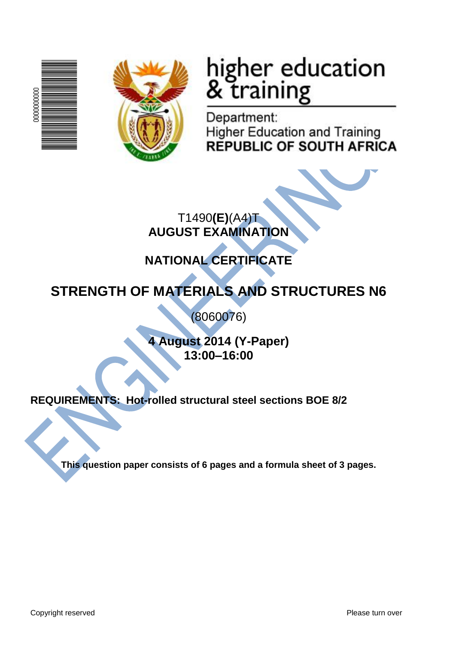



# higher education<br>& training

Department: **Higher Education and Training REPUBLIC OF SOUTH AFRICA** 

T1490**(E)**(A4)T **AUGUST EXAMINATION**

# **NATIONAL CERTIFICATE**

# **STRENGTH OF MATERIALS AND STRUCTURES N6**

(8060076)

**4 August 2014 (Y-Paper) 13:00–16:00**

**REQUIREMENTS: Hot-rolled structural steel sections BOE 8/2**

**This question paper consists of 6 pages and a formula sheet of 3 pages.**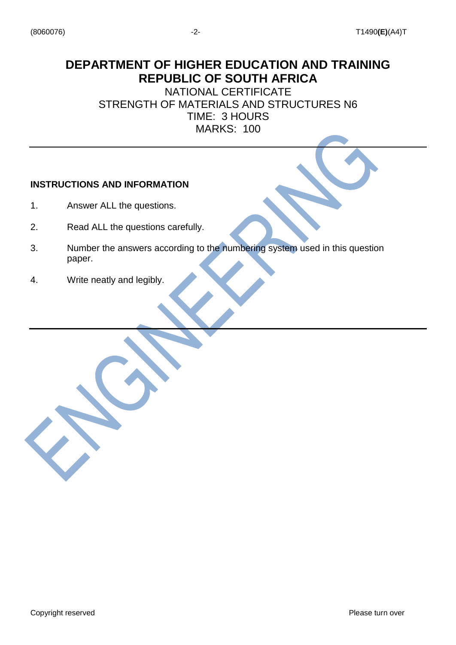# **DEPARTMENT OF HIGHER EDUCATION AND TRAINING REPUBLIC OF SOUTH AFRICA**

NATIONAL CERTIFICATE STRENGTH OF MATERIALS AND STRUCTURES N6 TIME: 3 HOURS MARKS: 100

#### **INSTRUCTIONS AND INFORMATION**

- 1. Answer ALL the questions.
- 2. Read ALL the questions carefully.
- 3. Number the answers according to the numbering system used in this question paper.
- 4. Write neatly and legibly.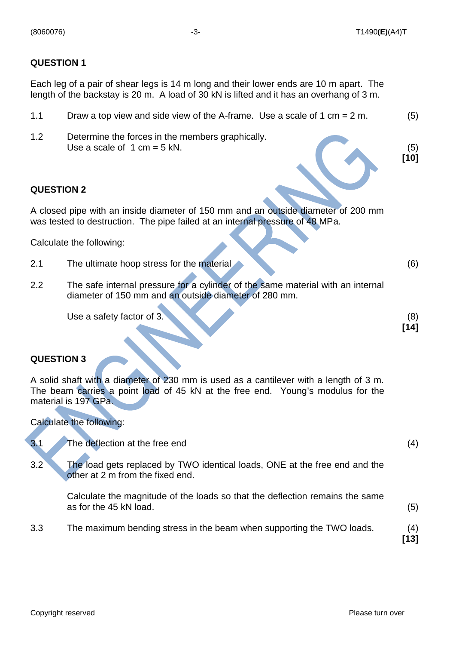(5) **[10]**

**[14]**

#### **QUESTION 1**

Each leg of a pair of shear legs is 14 m long and their lower ends are 10 m apart. The length of the backstay is 20 m. A load of 30 kN is lifted and it has an overhang of 3 m.

- 1.1 Draw a top view and side view of the A-frame. Use a scale of 1 cm = 2 m. (5)
- 1.2 Determine the forces in the members graphically. Use a scale of  $1 \text{ cm} = 5 \text{ kN}$ .

#### **QUESTION 2**

A closed pipe with an inside diameter of 150 mm and an outside diameter of 200 mm was tested to destruction. The pipe failed at an internal pressure of 48 MPa.

Calculate the following:

- 2.1 The ultimate hoop stress for the material (6)
- 2.2 The safe internal pressure for a cylinder of the same material with an internal diameter of 150 mm and an outside diameter of 280 mm.

Use a safety factor of 3. (8)

#### **QUESTION 3**

A solid shaft with a diameter of 230 mm is used as a cantilever with a length of 3 m. The beam carries a point load of 45 kN at the free end. Young's modulus for the material is 197 GPa.

#### Calculate the following:

| 3.1 | The deflection at the free end                                                                                 | (4)         |
|-----|----------------------------------------------------------------------------------------------------------------|-------------|
| 3.2 | The load gets replaced by TWO identical loads, ONE at the free end and the<br>other at 2 m from the fixed end. |             |
|     | Calculate the magnitude of the loads so that the deflection remains the same<br>as for the 45 kN load.         | (5)         |
| 3.3 | The maximum bending stress in the beam when supporting the TWO loads.                                          | (4)<br>[13] |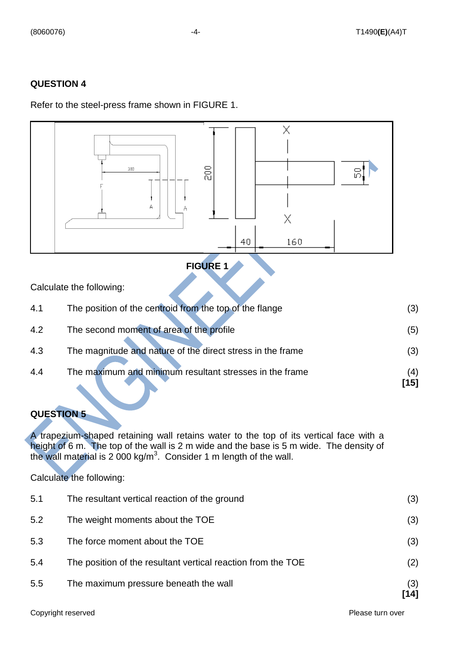#### **QUESTION 4**

#### Refer to the steel-press frame shown in FIGURE 1.



## **FIGURE 1**

Calculate the following:

| 4.1 | The position of the centroid from the top of the flange    | (3)         |
|-----|------------------------------------------------------------|-------------|
| 4.2 | The second moment of area of the profile                   | (5)         |
| 4.3 | The magnitude and nature of the direct stress in the frame | (3)         |
| 4.4 | The maximum and minimum resultant stresses in the frame    | (4)<br>[15] |

## **QUESTION 5**

A trapezium-shaped retaining wall retains water to the top of its vertical face with a height of 6 m. The top of the wall is 2 m wide and the base is 5 m wide. The density of the wall material is 2 000 kg/m<sup>3</sup>. Consider 1 m length of the wall.

Calculate the following:

| 5.5 | The maximum pressure beneath the wall                        | (3)<br>[14] |
|-----|--------------------------------------------------------------|-------------|
| 5.4 | The position of the resultant vertical reaction from the TOE | (2)         |
| 5.3 | The force moment about the TOE                               | (3)         |
| 5.2 | The weight moments about the TOE                             | (3)         |
| 5.1 | The resultant vertical reaction of the ground                | (3)         |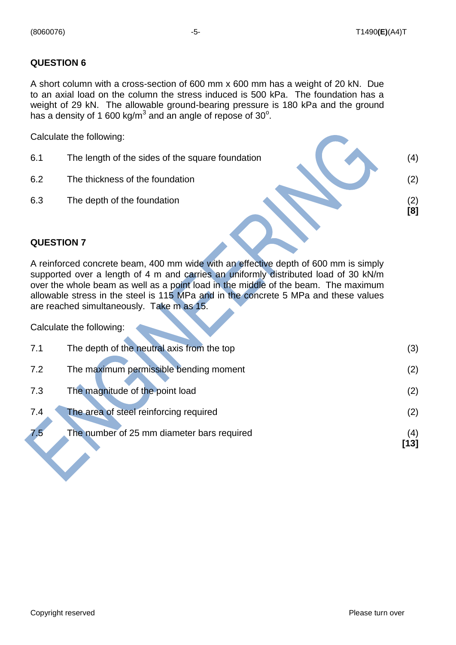#### **QUESTION 6**

A short column with a cross-section of 600 mm x 600 mm has a weight of 20 kN. Due to an axial load on the column the stress induced is 500 kPa. The foundation has a weight of 29 kN. The allowable ground-bearing pressure is 180 kPa and the ground has a density of 1 600 kg/m<sup>3</sup> and an angle of repose of 30 $^{\circ}$ .

Calculate the following:

- 6.1 The length of the sides of the square foundation (4)
- 6.2 The thickness of the foundation (2) (2)
- 6.3 The depth of the foundation (2)

 **[8]**

#### **QUESTION 7**

A reinforced concrete beam, 400 mm wide with an effective depth of 600 mm is simply supported over a length of 4 m and carries an uniformly distributed load of 30 kN/m over the whole beam as well as a point load in the middle of the beam. The maximum allowable stress in the steel is 115 MPa and in the concrete 5 MPa and these values are reached simultaneously. Take m as 15.

Calculate the following:

| 7.5 | The number of 25 mm diameter bars required | (4) |
|-----|--------------------------------------------|-----|
| 7.4 | The area of steel reinforcing required     | (2) |
| 7.3 | The magnitude of the point load            | (2) |
| 7.2 | The maximum permissible bending moment     | (2) |
| 7.1 | The depth of the neutral axis from the top | (3) |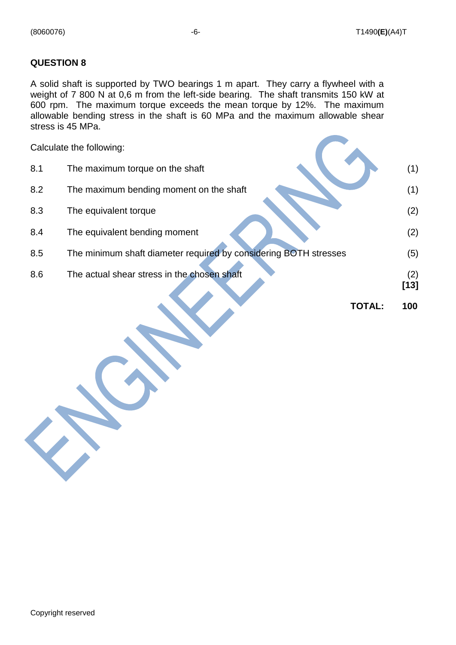#### **QUESTION 8**

A solid shaft is supported by TWO bearings 1 m apart. They carry a flywheel with a weight of 7 800 N at 0,6 m from the left-side bearing. The shaft transmits 150 kW at 600 rpm. The maximum torque exceeds the mean torque by 12%. The maximum allowable bending stress in the shaft is 60 MPa and the maximum allowable shear stress is 45 MPa.

|     | Calculate the following:                                         |        |               |
|-----|------------------------------------------------------------------|--------|---------------|
| 8.1 | The maximum torque on the shaft                                  |        | (1)           |
| 8.2 | The maximum bending moment on the shaft                          |        | (1)           |
| 8.3 | The equivalent torque                                            |        | (2)           |
| 8.4 | The equivalent bending moment                                    |        | (2)           |
| 8.5 | The minimum shaft diameter required by considering BOTH stresses |        | (5)           |
| 8.6 | The actual shear stress in the chosen shaft                      |        | (2)<br>$[13]$ |
|     |                                                                  | TOTAL: | 100           |
|     |                                                                  |        |               |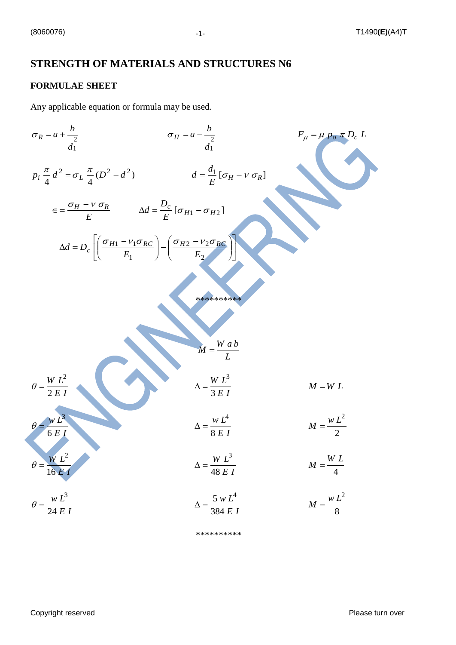## **STRENGTH OF MATERIALS AND STRUCTURES N6**

#### **FORMULAE SHEET**

Any applicable equation or formula may be used.

$$
\sigma_R = a + \frac{b}{2}
$$
\n
$$
\sigma_H = a - \frac{b}{2}
$$
\n
$$
\sigma_H = a - \frac{b}{4}
$$
\n
$$
\sigma_H = a - \frac{b}{2}
$$
\n
$$
F_{\mu} = \mu p_{\sigma} \pi D_e L
$$
\n
$$
\sigma_H = a - \frac{b}{d_1}
$$
\n
$$
d = \frac{a_1}{E} [\sigma_H - v \sigma_R]
$$
\n
$$
\Delta d = D_c \left[ \frac{\sigma_{H1} - v_1 \sigma_{RC}}{E_1} \right] - \left( \frac{\sigma_{H2} - v_2 \sigma_{RC}}{E_2} \right)
$$
\n
$$
M = \frac{W a b}{L}
$$
\n
$$
\sigma = \frac{W L^2}{2EI}
$$
\n
$$
\sigma = \frac{W L^2}{2EI}
$$
\n
$$
\Delta = \frac{W L^3}{8EI}
$$
\n
$$
\Delta = \frac{W L^3}{48EI}
$$
\n
$$
\Delta = \frac{W L^3}{384EI}
$$
\n
$$
\Delta = \frac{W L^3}{384EI}
$$
\n
$$
\Delta = \frac{W L^3}{384EI}
$$
\n
$$
\Delta = \frac{5w L^4}{384EI}
$$
\n
$$
\Delta = \frac{W L^2}{384EI}
$$
\n
$$
\Delta = \frac{W L^2}{384EI}
$$
\n
$$
\Delta = \frac{W L^2}{384EI}
$$
\n
$$
\Delta = \frac{W L^2}{384EI}
$$
\n
$$
\Delta = \frac{W L^2}{384EI}
$$

\*\*\*\*\*\*\*\*\*\*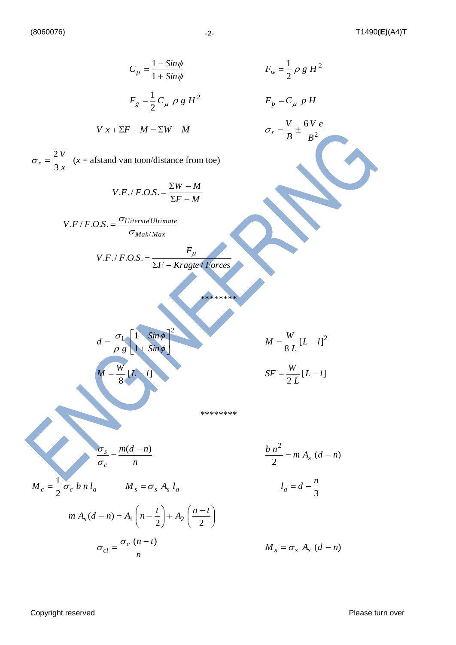$$
C_{\mu} = \frac{1 - Sim\phi}{1 + Sim\phi} \qquad F_{w} = \frac{1}{2} \rho g H^{2}
$$
\n
$$
F_{g} = \frac{1}{2} C_{\mu} \rho g H^{2} \qquad F_{p} = C_{\mu} p H
$$
\n
$$
V x + \Sigma F - M = \Sigma W - M \qquad \sigma_{r} = \frac{V}{B} + \frac{6V e}{B^{2}}
$$
\n
$$
\sigma_{r} = \frac{2V}{3x} \text{ (x = afstand van toon/distance from toe)}
$$
\n
$$
V.F.F. O.S. = \frac{\Sigma W - M}{\Sigma F - M}
$$
\n
$$
V.F.F. O.S. = \frac{\sigma_{Uitersted'Ulimate}}{\sigma_{Mak/Max}}
$$
\n
$$
V.F.F. O.S. = \frac{\sigma_{Uitersted'Ulimate}}{\Sigma F - Kragte} \text{ Korces}
$$
\n
$$
M = \frac{W}{8} [L - I]^{2}
$$
\n
$$
M = \frac{W}{8} [L - I]^{2}
$$
\n
$$
M = \frac{W}{8} [L - I]
$$
\n
$$
S F = \frac{W}{2L} [L - I]
$$
\n
$$
V F = \frac{W}{2L} [L - I]
$$
\n
$$
V F = \frac{W}{8L} [L - I]^{2}
$$
\n
$$
V F = \frac{W}{8L} [L - I]^{2}
$$
\n
$$
V F = \frac{W}{8L} [L - I]^{2}
$$
\n
$$
V F = \frac{W}{8L} [L - I]^{2}
$$
\n
$$
V F = \frac{W}{8L} [L - I]^{2}
$$
\n
$$
V F = \frac{W}{8L} [L - I]^{2}
$$
\n
$$
V F = \frac{W}{8L} [L - I]^{2}
$$
\n
$$
V F = \frac{W}{8L} [L - I]^{2}
$$
\n
$$
V F = \frac{W}{8L} [L - I]^{2}
$$
\n
$$
V F = \frac{W}{8L} [L - I]^{2}
$$
\n
$$
V F = \frac{W}{8L} [L - I]^{2}
$$
\n
$$
V F = \frac{W}{8L} [L - I]^{2
$$